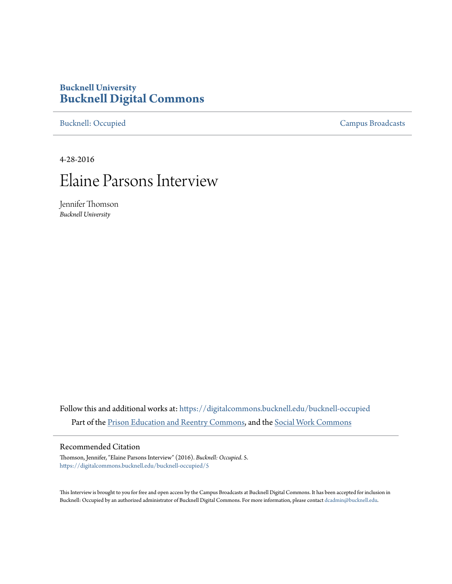# **Bucknell University [Bucknell Digital Commons](https://digitalcommons.bucknell.edu?utm_source=digitalcommons.bucknell.edu%2Fbucknell-occupied%2F5&utm_medium=PDF&utm_campaign=PDFCoverPages)**

[Bucknell: Occupied](https://digitalcommons.bucknell.edu/bucknell-occupied?utm_source=digitalcommons.bucknell.edu%2Fbucknell-occupied%2F5&utm_medium=PDF&utm_campaign=PDFCoverPages) [Campus Broadcasts](https://digitalcommons.bucknell.edu/campus-broadcasts?utm_source=digitalcommons.bucknell.edu%2Fbucknell-occupied%2F5&utm_medium=PDF&utm_campaign=PDFCoverPages)

4-28-2016

# Elaine Parsons Interview

Jennifer Thomson *Bucknell University*

Follow this and additional works at: [https://digitalcommons.bucknell.edu/bucknell-occupied](https://digitalcommons.bucknell.edu/bucknell-occupied?utm_source=digitalcommons.bucknell.edu%2Fbucknell-occupied%2F5&utm_medium=PDF&utm_campaign=PDFCoverPages) Part of the [Prison Education and Reentry Commons,](http://network.bepress.com/hgg/discipline/1399?utm_source=digitalcommons.bucknell.edu%2Fbucknell-occupied%2F5&utm_medium=PDF&utm_campaign=PDFCoverPages) and the [Social Work Commons](http://network.bepress.com/hgg/discipline/713?utm_source=digitalcommons.bucknell.edu%2Fbucknell-occupied%2F5&utm_medium=PDF&utm_campaign=PDFCoverPages)

### Recommended Citation

Thomson, Jennifer, "Elaine Parsons Interview" (2016). *Bucknell: Occupied*. 5. [https://digitalcommons.bucknell.edu/bucknell-occupied/5](https://digitalcommons.bucknell.edu/bucknell-occupied/5?utm_source=digitalcommons.bucknell.edu%2Fbucknell-occupied%2F5&utm_medium=PDF&utm_campaign=PDFCoverPages)

This Interview is brought to you for free and open access by the Campus Broadcasts at Bucknell Digital Commons. It has been accepted for inclusion in Bucknell: Occupied by an authorized administrator of Bucknell Digital Commons. For more information, please contact [dcadmin@bucknell.edu](mailto:dcadmin@bucknell.edu).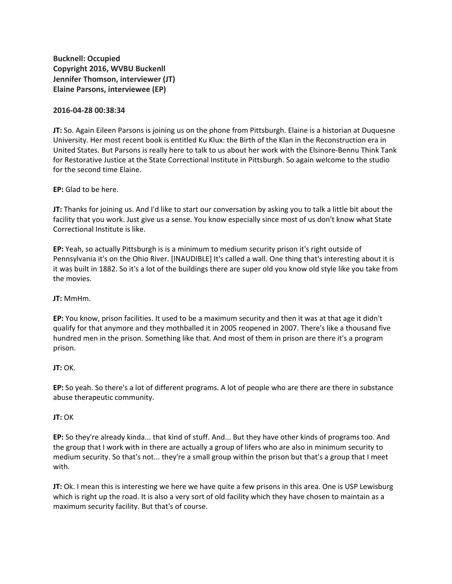**Bucknell: Occupied Copyright 2016, WVBU Buckenll Jennifer Thomson, interviewer (JT) Elaine Parsons, interviewee (EP)**

#### **2016-04-28 00:38:34**

**JT:** So. Again Eileen Parsons is joining us on the phone from Pittsburgh. Elaine is a historian at Duquesne University. Her most recent book is entitled Ku Klux: the Birth of the Klan in the Reconstruction era in United States. But Parsons is really here to talk to us about her work with the Elsinore-Bennu Think Tank for Restorative Justice at the State Correctional Institute in Pittsburgh. So again welcome to the studio for the second time Elaine.

**EP:** Glad to be here.

**JT:** Thanks for joining us. And I'd like to start our conversation by asking you to talk a little bit about the facility that you work. Just give us a sense. You know especially since most of us don't know what State Correctional Institute is like.

**EP:** Yeah, so actually Pittsburgh is is a minimum to medium security prison it's right outside of Pennsylvania it's on the Ohio River. [INAUDIBLE] It's called a wall. One thing that's interesting about it is it was built in 1882. So it's a lot of the buildings there are super old you know old style like you take from the movies.

**JT:** MmHm.

**EP:** You know, prison facilities. It used to be a maximum security and then it was at that age it didn't qualify for that anymore and they mothballed it in 2005 reopened in 2007. There's like a thousand five hundred men in the prison. Something like that. And most of them in prison are there it's a program prison.

#### **JT:** OK.

**EP:** So yeah. So there's a lot of different programs. A lot of people who are there are there in substance abuse therapeutic community.

#### **JT:** OK

**EP:** So they're already kinda... that kind of stuff. And... But they have other kinds of programs too. And the group that I work with in there are actually a group of lifers who are also in minimum security to medium security. So that's not... they're a small group within the prison but that's a group that I meet with.

**JT:** Ok. I mean this is interesting we here we have quite a few prisons in this area. One is USP Lewisburg which is right up the road. It is also a very sort of old facility which they have chosen to maintain as a maximum security facility. But that's of course.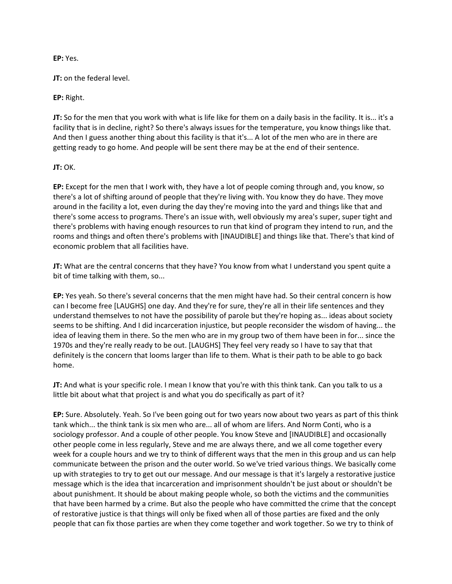# **EP:** Yes.

**JT:** on the federal level.

**EP:** Right.

**JT:** So for the men that you work with what is life like for them on a daily basis in the facility. It is... it's a facility that is in decline, right? So there's always issues for the temperature, you know things like that. And then I guess another thing about this facility is that it's... A lot of the men who are in there are getting ready to go home. And people will be sent there may be at the end of their sentence.

# **JT:** OK.

**EP:** Except for the men that I work with, they have a lot of people coming through and, you know, so there's a lot of shifting around of people that they're living with. You know they do have. They move around in the facility a lot, even during the day they're moving into the yard and things like that and there's some access to programs. There's an issue with, well obviously my area's super, super tight and there's problems with having enough resources to run that kind of program they intend to run, and the rooms and things and often there's problems with [INAUDIBLE] and things like that. There's that kind of economic problem that all facilities have.

**JT:** What are the central concerns that they have? You know from what I understand you spent quite a bit of time talking with them, so...

**EP:** Yes yeah. So there's several concerns that the men might have had. So their central concern is how can I become free [LAUGHS] one day. And they're for sure, they're all in their life sentences and they understand themselves to not have the possibility of parole but they're hoping as... ideas about society seems to be shifting. And I did incarceration injustice, but people reconsider the wisdom of having... the idea of leaving them in there. So the men who are in my group two of them have been in for... since the 1970s and they're really ready to be out. [LAUGHS] They feel very ready so I have to say that that definitely is the concern that looms larger than life to them. What is their path to be able to go back home.

**JT:** And what is your specific role. I mean I know that you're with this think tank. Can you talk to us a little bit about what that project is and what you do specifically as part of it?

**EP:** Sure. Absolutely. Yeah. So I've been going out for two years now about two years as part of this think tank which... the think tank is six men who are... all of whom are lifers. And Norm Conti, who is a sociology professor. And a couple of other people. You know Steve and [INAUDIBLE] and occasionally other people come in less regularly, Steve and me are always there, and we all come together every week for a couple hours and we try to think of different ways that the men in this group and us can help communicate between the prison and the outer world. So we've tried various things. We basically come up with strategies to try to get out our message. And our message is that it's largely a restorative justice message which is the idea that incarceration and imprisonment shouldn't be just about or shouldn't be about punishment. It should be about making people whole, so both the victims and the communities that have been harmed by a crime. But also the people who have committed the crime that the concept of restorative justice is that things will only be fixed when all of those parties are fixed and the only people that can fix those parties are when they come together and work together. So we try to think of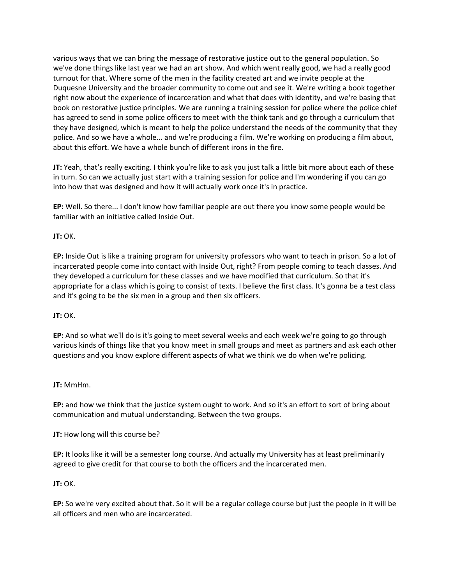various ways that we can bring the message of restorative justice out to the general population. So we've done things like last year we had an art show. And which went really good, we had a really good turnout for that. Where some of the men in the facility created art and we invite people at the Duquesne University and the broader community to come out and see it. We're writing a book together right now about the experience of incarceration and what that does with identity, and we're basing that book on restorative justice principles. We are running a training session for police where the police chief has agreed to send in some police officers to meet with the think tank and go through a curriculum that they have designed, which is meant to help the police understand the needs of the community that they police. And so we have a whole... and we're producing a film. We're working on producing a film about, about this effort. We have a whole bunch of different irons in the fire.

**JT:** Yeah, that's really exciting. I think you're like to ask you just talk a little bit more about each of these in turn. So can we actually just start with a training session for police and I'm wondering if you can go into how that was designed and how it will actually work once it's in practice.

**EP:** Well. So there... I don't know how familiar people are out there you know some people would be familiar with an initiative called Inside Out.

# **JT:** OK.

**EP:** Inside Out is like a training program for university professors who want to teach in prison. So a lot of incarcerated people come into contact with Inside Out, right? From people coming to teach classes. And they developed a curriculum for these classes and we have modified that curriculum. So that it's appropriate for a class which is going to consist of texts. I believe the first class. It's gonna be a test class and it's going to be the six men in a group and then six officers.

#### **JT:** OK.

**EP:** And so what we'll do is it's going to meet several weeks and each week we're going to go through various kinds of things like that you know meet in small groups and meet as partners and ask each other questions and you know explore different aspects of what we think we do when we're policing.

#### **JT:** MmHm.

**EP:** and how we think that the justice system ought to work. And so it's an effort to sort of bring about communication and mutual understanding. Between the two groups.

#### **JT:** How long will this course be?

**EP:** It looks like it will be a semester long course. And actually my University has at least preliminarily agreed to give credit for that course to both the officers and the incarcerated men.

#### **JT:** OK.

**EP:** So we're very excited about that. So it will be a regular college course but just the people in it will be all officers and men who are incarcerated.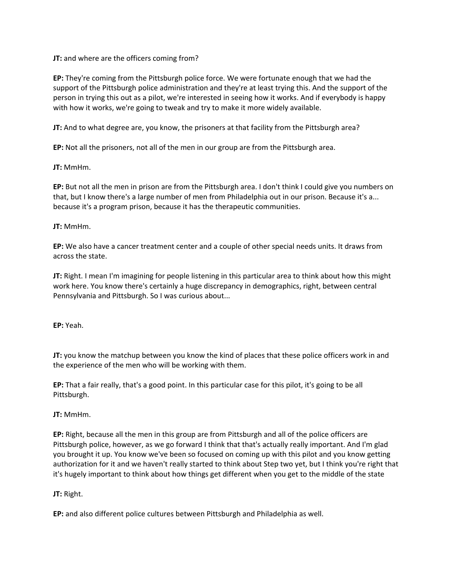**JT:** and where are the officers coming from?

**EP:** They're coming from the Pittsburgh police force. We were fortunate enough that we had the support of the Pittsburgh police administration and they're at least trying this. And the support of the person in trying this out as a pilot, we're interested in seeing how it works. And if everybody is happy with how it works, we're going to tweak and try to make it more widely available.

**JT:** And to what degree are, you know, the prisoners at that facility from the Pittsburgh area?

**EP:** Not all the prisoners, not all of the men in our group are from the Pittsburgh area.

**JT:** MmHm.

**EP:** But not all the men in prison are from the Pittsburgh area. I don't think I could give you numbers on that, but I know there's a large number of men from Philadelphia out in our prison. Because it's a... because it's a program prison, because it has the therapeutic communities.

#### **JT:** MmHm.

**EP:** We also have a cancer treatment center and a couple of other special needs units. It draws from across the state.

**JT:** Right. I mean I'm imagining for people listening in this particular area to think about how this might work here. You know there's certainly a huge discrepancy in demographics, right, between central Pennsylvania and Pittsburgh. So I was curious about...

**EP:** Yeah.

**JT:** you know the matchup between you know the kind of places that these police officers work in and the experience of the men who will be working with them.

**EP:** That a fair really, that's a good point. In this particular case for this pilot, it's going to be all Pittsburgh.

#### **JT:** MmHm.

**EP:** Right, because all the men in this group are from Pittsburgh and all of the police officers are Pittsburgh police, however, as we go forward I think that that's actually really important. And I'm glad you brought it up. You know we've been so focused on coming up with this pilot and you know getting authorization for it and we haven't really started to think about Step two yet, but I think you're right that it's hugely important to think about how things get different when you get to the middle of the state

#### **JT:** Right.

**EP:** and also different police cultures between Pittsburgh and Philadelphia as well.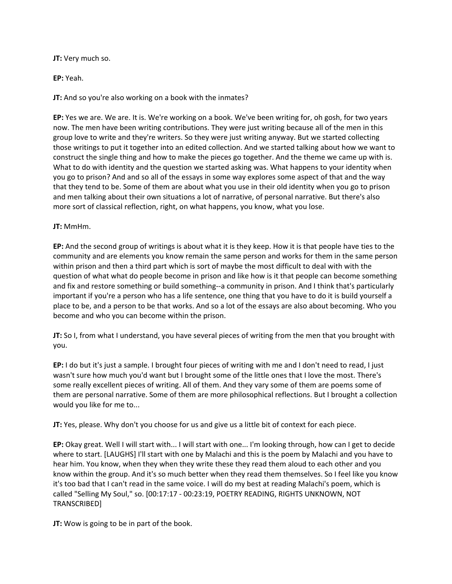**JT:** Very much so.

**EP:** Yeah.

**JT:** And so you're also working on a book with the inmates?

**EP:** Yes we are. We are. It is. We're working on a book. We've been writing for, oh gosh, for two years now. The men have been writing contributions. They were just writing because all of the men in this group love to write and they're writers. So they were just writing anyway. But we started collecting those writings to put it together into an edited collection. And we started talking about how we want to construct the single thing and how to make the pieces go together. And the theme we came up with is. What to do with identity and the question we started asking was. What happens to your identity when you go to prison? And and so all of the essays in some way explores some aspect of that and the way that they tend to be. Some of them are about what you use in their old identity when you go to prison and men talking about their own situations a lot of narrative, of personal narrative. But there's also more sort of classical reflection, right, on what happens, you know, what you lose.

**JT:** MmHm.

**EP:** And the second group of writings is about what it is they keep. How it is that people have ties to the community and are elements you know remain the same person and works for them in the same person within prison and then a third part which is sort of maybe the most difficult to deal with with the question of what what do people become in prison and like how is it that people can become something and fix and restore something or build something--a community in prison. And I think that's particularly important if you're a person who has a life sentence, one thing that you have to do it is build yourself a place to be, and a person to be that works. And so a lot of the essays are also about becoming. Who you become and who you can become within the prison.

**JT:** So I, from what I understand, you have several pieces of writing from the men that you brought with you.

**EP:** I do but it's just a sample. I brought four pieces of writing with me and I don't need to read, I just wasn't sure how much you'd want but I brought some of the little ones that I love the most. There's some really excellent pieces of writing. All of them. And they vary some of them are poems some of them are personal narrative. Some of them are more philosophical reflections. But I brought a collection would you like for me to...

**JT:** Yes, please. Why don't you choose for us and give us a little bit of context for each piece.

**EP:** Okay great. Well I will start with... I will start with one... I'm looking through, how can I get to decide where to start. [LAUGHS] I'll start with one by Malachi and this is the poem by Malachi and you have to hear him. You know, when they when they write these they read them aloud to each other and you know within the group. And it's so much better when they read them themselves. So I feel like you know it's too bad that I can't read in the same voice. I will do my best at reading Malachi's poem, which is called "Selling My Soul," so. [00:17:17 - 00:23:19, POETRY READING, RIGHTS UNKNOWN, NOT TRANSCRIBED]

**JT:** Wow is going to be in part of the book.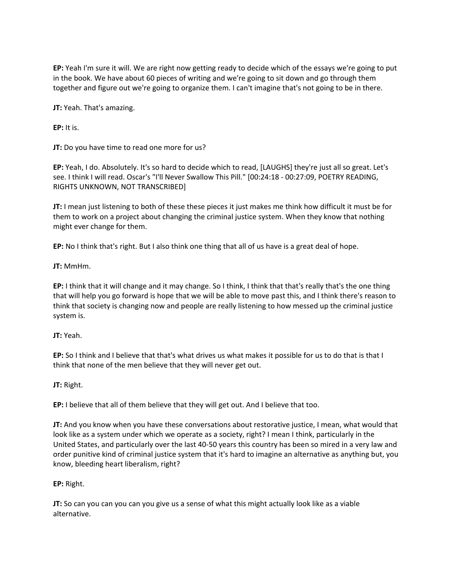**EP:** Yeah I'm sure it will. We are right now getting ready to decide which of the essays we're going to put in the book. We have about 60 pieces of writing and we're going to sit down and go through them together and figure out we're going to organize them. I can't imagine that's not going to be in there.

**JT:** Yeah. That's amazing.

**EP:** It is.

**JT:** Do you have time to read one more for us?

**EP:** Yeah, I do. Absolutely. It's so hard to decide which to read, [LAUGHS] they're just all so great. Let's see. I think I will read. Oscar's "I'll Never Swallow This Pill." [00:24:18 - 00:27:09, POETRY READING, RIGHTS UNKNOWN, NOT TRANSCRIBED]

**JT:** I mean just listening to both of these these pieces it just makes me think how difficult it must be for them to work on a project about changing the criminal justice system. When they know that nothing might ever change for them.

**EP:** No I think that's right. But I also think one thing that all of us have is a great deal of hope.

**JT:** MmHm.

**EP:** I think that it will change and it may change. So I think, I think that that's really that's the one thing that will help you go forward is hope that we will be able to move past this, and I think there's reason to think that society is changing now and people are really listening to how messed up the criminal justice system is.

**JT:** Yeah.

**EP:** So I think and I believe that that's what drives us what makes it possible for us to do that is that I think that none of the men believe that they will never get out.

**JT:** Right.

**EP:** I believe that all of them believe that they will get out. And I believe that too.

**JT:** And you know when you have these conversations about restorative justice, I mean, what would that look like as a system under which we operate as a society, right? I mean I think, particularly in the United States, and particularly over the last 40-50 years this country has been so mired in a very law and order punitive kind of criminal justice system that it's hard to imagine an alternative as anything but, you know, bleeding heart liberalism, right?

**EP:** Right.

**JT:** So can you can you can you give us a sense of what this might actually look like as a viable alternative.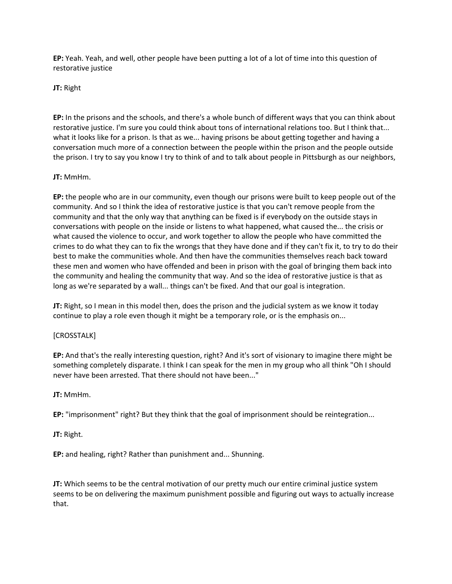**EP:** Yeah. Yeah, and well, other people have been putting a lot of a lot of time into this question of restorative justice

**JT:** Right

**EP:** In the prisons and the schools, and there's a whole bunch of different ways that you can think about restorative justice. I'm sure you could think about tons of international relations too. But I think that... what it looks like for a prison. Is that as we... having prisons be about getting together and having a conversation much more of a connection between the people within the prison and the people outside the prison. I try to say you know I try to think of and to talk about people in Pittsburgh as our neighbors,

# **JT:** MmHm.

**EP:** the people who are in our community, even though our prisons were built to keep people out of the community. And so I think the idea of restorative justice is that you can't remove people from the community and that the only way that anything can be fixed is if everybody on the outside stays in conversations with people on the inside or listens to what happened, what caused the... the crisis or what caused the violence to occur, and work together to allow the people who have committed the crimes to do what they can to fix the wrongs that they have done and if they can't fix it, to try to do their best to make the communities whole. And then have the communities themselves reach back toward these men and women who have offended and been in prison with the goal of bringing them back into the community and healing the community that way. And so the idea of restorative justice is that as long as we're separated by a wall... things can't be fixed. And that our goal is integration.

**JT:** Right, so I mean in this model then, does the prison and the judicial system as we know it today continue to play a role even though it might be a temporary role, or is the emphasis on...

# [CROSSTALK]

**EP:** And that's the really interesting question, right? And it's sort of visionary to imagine there might be something completely disparate. I think I can speak for the men in my group who all think "Oh I should never have been arrested. That there should not have been..."

# **JT:** MmHm.

**EP:** "imprisonment" right? But they think that the goal of imprisonment should be reintegration...

#### **JT:** Right.

**EP:** and healing, right? Rather than punishment and... Shunning.

**JT:** Which seems to be the central motivation of our pretty much our entire criminal justice system seems to be on delivering the maximum punishment possible and figuring out ways to actually increase that.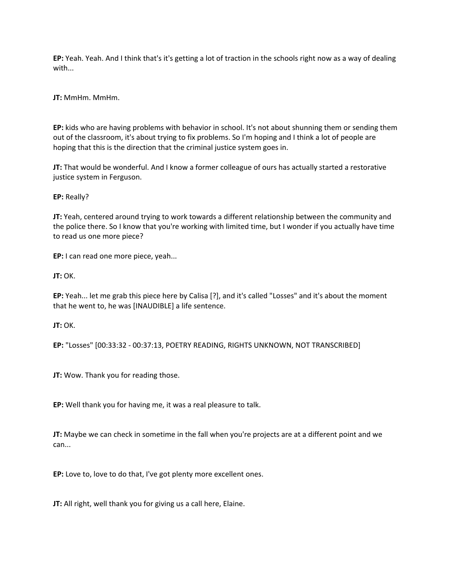**EP:** Yeah. Yeah. And I think that's it's getting a lot of traction in the schools right now as a way of dealing with...

**JT:** MmHm. MmHm.

**EP:** kids who are having problems with behavior in school. It's not about shunning them or sending them out of the classroom, it's about trying to fix problems. So I'm hoping and I think a lot of people are hoping that this is the direction that the criminal justice system goes in.

**JT:** That would be wonderful. And I know a former colleague of ours has actually started a restorative justice system in Ferguson.

**EP:** Really?

**JT:** Yeah, centered around trying to work towards a different relationship between the community and the police there. So I know that you're working with limited time, but I wonder if you actually have time to read us one more piece?

**EP:** I can read one more piece, yeah...

**JT:** OK.

**EP:** Yeah... let me grab this piece here by Calisa [?], and it's called "Losses" and it's about the moment that he went to, he was [INAUDIBLE] a life sentence.

**JT:** OK.

**EP:** "Losses" [00:33:32 - 00:37:13, POETRY READING, RIGHTS UNKNOWN, NOT TRANSCRIBED]

**JT:** Wow. Thank you for reading those.

**EP:** Well thank you for having me, it was a real pleasure to talk.

**JT:** Maybe we can check in sometime in the fall when you're projects are at a different point and we can...

**EP:** Love to, love to do that, I've got plenty more excellent ones.

**JT:** All right, well thank you for giving us a call here, Elaine.